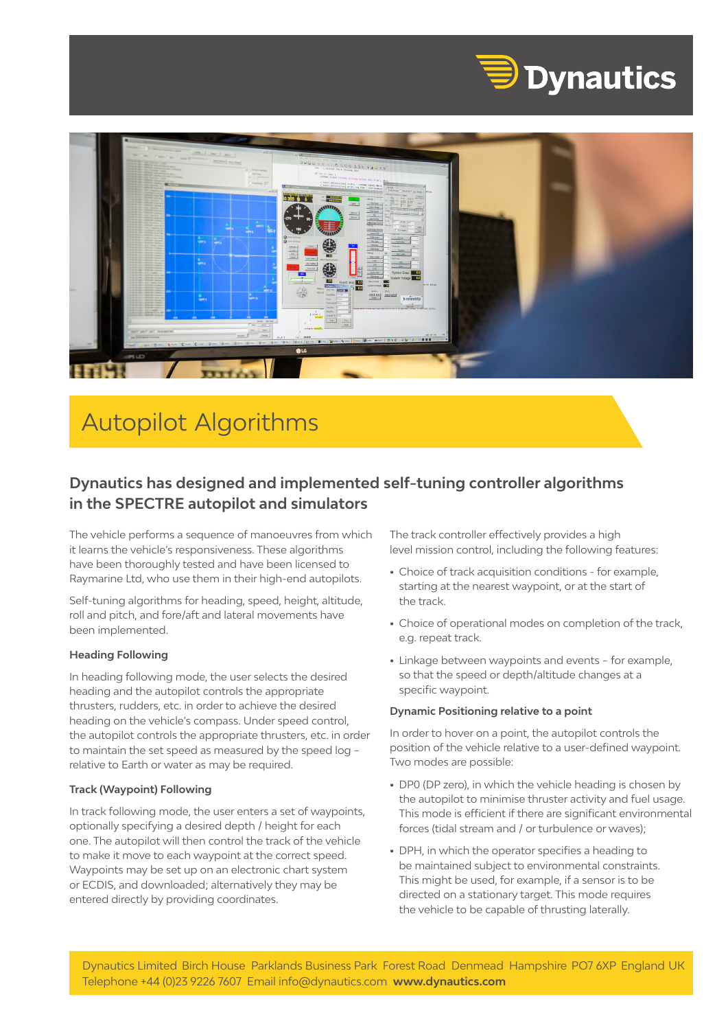



# Autopilot Algorithms

# **Dynautics has designed and implemented self-tuning controller algorithms in the SPECTRE autopilot and simulators**

The vehicle performs a sequence of manoeuvres from which it learns the vehicle's responsiveness. These algorithms have been thoroughly tested and have been licensed to Raymarine Ltd, who use them in their high-end autopilots.

Self-tuning algorithms for heading, speed, height, altitude, roll and pitch, and fore/aft and lateral movements have been implemented.

#### **Heading Following**

In heading following mode, the user selects the desired heading and the autopilot controls the appropriate thrusters, rudders, etc. in order to achieve the desired heading on the vehicle's compass. Under speed control, the autopilot controls the appropriate thrusters, etc. in order to maintain the set speed as measured by the speed log – relative to Earth or water as may be required.

#### **Track (Waypoint) Following**

In track following mode, the user enters a set of waypoints, optionally specifying a desired depth / height for each one. The autopilot will then control the track of the vehicle to make it move to each waypoint at the correct speed. Waypoints may be set up on an electronic chart system or ECDIS, and downloaded; alternatively they may be entered directly by providing coordinates.

The track controller effectively provides a high level mission control, including the following features:

- Choice of track acquisition conditions for example, starting at the nearest waypoint, or at the start of the track.
- Choice of operational modes on completion of the track, e.g. repeat track.
- Linkage between waypoints and events for example, so that the speed or depth/altitude changes at a specific waypoint.

#### **Dynamic Positioning relative to a point**

In order to hover on a point, the autopilot controls the position of the vehicle relative to a user-defined waypoint. Two modes are possible:

- DP0 (DP zero), in which the vehicle heading is chosen by the autopilot to minimise thruster activity and fuel usage. This mode is efficient if there are significant environmental forces (tidal stream and / or turbulence or waves);
- DPH, in which the operator specifies a heading to be maintained subject to environmental constraints. This might be used, for example, if a sensor is to be directed on a stationary target. This mode requires the vehicle to be capable of thrusting laterally.

Dynautics Limited Birch House Parklands Business Park Forest Road Denmead Hampshire PO7 6XP England UK Telephone +44 (0)23 9226 7607 Email info@dynautics.com **www.dynautics.com**